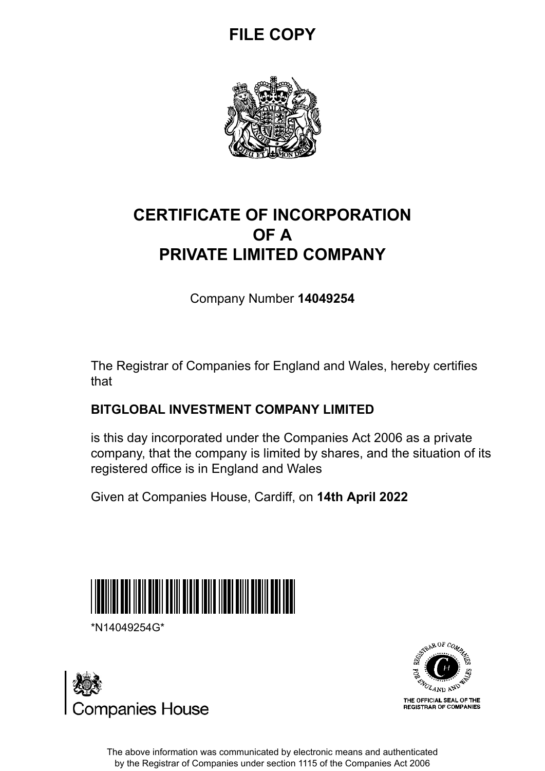## **FILE COPY**



## **CERTIFICATE OF INCORPORATION OF A PRIVATE LIMITED COMPANY**

Company Number **14049254**

The Registrar of Companies for England and Wales, hereby certifies that

### **BITGLOBAL INVESTMENT COMPANY LIMITED**

is this day incorporated under the Companies Act 2006 as a private company, that the company is limited by shares, and the situation of its registered office is in England and Wales

Given at Companies House, Cardiff, on **14th April 2022**



\*N14049254G\*





The above information was communicated by electronic means and authenticated by the Registrar of Companies under section 1115 of the Companies Act 2006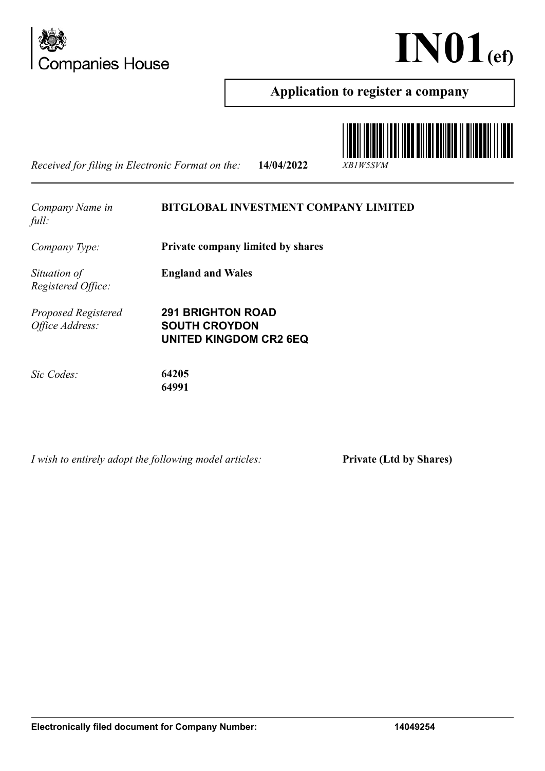



#### **Application to register a company**

*Received for filing in Electronic Format on the:* **14/04/2022** *XB1W5SVM*



*Company Name in full:*

**BITGLOBAL INVESTMENT COMPANY LIMITED**

*Company Type:* **Private company limited by shares**

*Situation of Registered Office:*

*Proposed Registered Office Address:*

**291 BRIGHTON ROAD SOUTH CROYDON UNITED KINGDOM CR2 6EQ**

**England and Wales**

*Sic Codes:* **64205**

**64991**

*I wish to entirely adopt the following model articles:* **Private (Ltd by Shares)**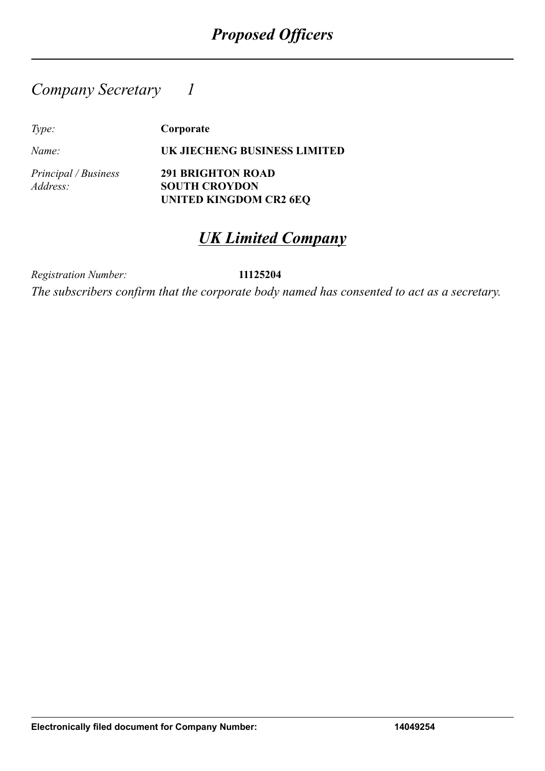### *Company Secretary 1*

*Type:* **Corporate**

*Name:* **UK JIECHENG BUSINESS LIMITED**

*Principal / Business Address:*

**291 BRIGHTON ROAD SOUTH CROYDON UNITED KINGDOM CR2 6EQ**

## *UK Limited Company*

*Registration Number:* **11125204**

*The subscribers confirm that the corporate body named has consented to act as a secretary.*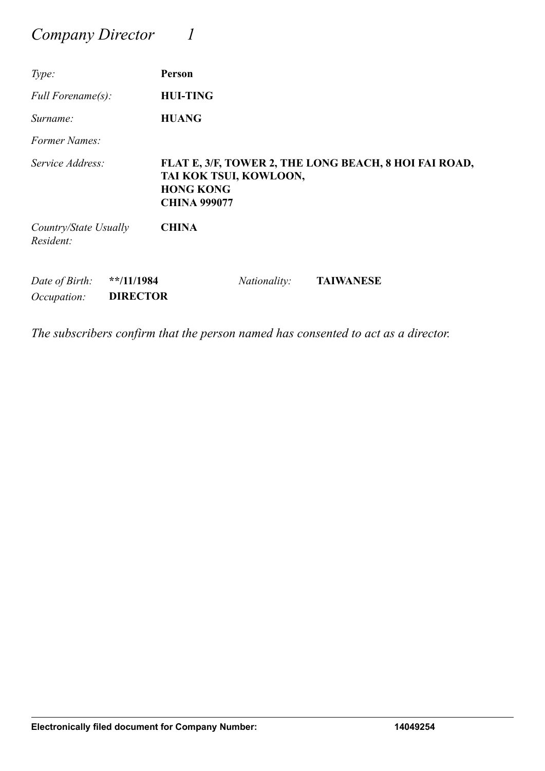### *Company Director 1*

| Type:                              |                                              | Person                                                            |                     |                                                       |
|------------------------------------|----------------------------------------------|-------------------------------------------------------------------|---------------------|-------------------------------------------------------|
| Full Forename(s):                  |                                              | <b>HUI-TING</b>                                                   |                     |                                                       |
| Surname:                           |                                              | <b>HUANG</b>                                                      |                     |                                                       |
| Former Names:                      |                                              |                                                                   |                     |                                                       |
| Service Address:                   |                                              | TAI KOK TSUI, KOWLOON,<br><b>HONG KONG</b><br><b>CHINA 999077</b> |                     | FLAT E, 3/F, TOWER 2, THE LONG BEACH, 8 HOI FAI ROAD, |
| Country/State Usually<br>Resident: |                                              | <b>CHINA</b>                                                      |                     |                                                       |
| Date of Birth:<br>Occupation:      | $*$ <sup>*</sup> /11/1984<br><b>DIRECTOR</b> |                                                                   | <i>Nationality:</i> | <b>TAIWANESE</b>                                      |

*The subscribers confirm that the person named has consented to act as a director.*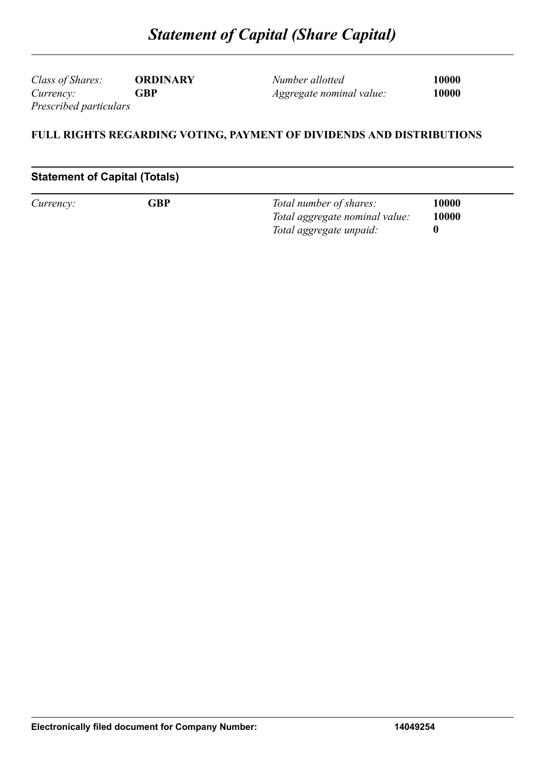*Class of Shares:* **ORDINARY** *Currency:* **GBP** *Prescribed particulars*

*Number allotted* **10000** *Aggregate nominal value:* **10000**

#### **FULL RIGHTS REGARDING VOTING, PAYMENT OF DIVIDENDS AND DISTRIBUTIONS**

#### **Statement of Capital (Totals)**

| Currency: | GBP | Total number of shares:        | 10000 |
|-----------|-----|--------------------------------|-------|
|           |     | Total aggregate nominal value: | 10000 |
|           |     | Total aggregate unpaid:        |       |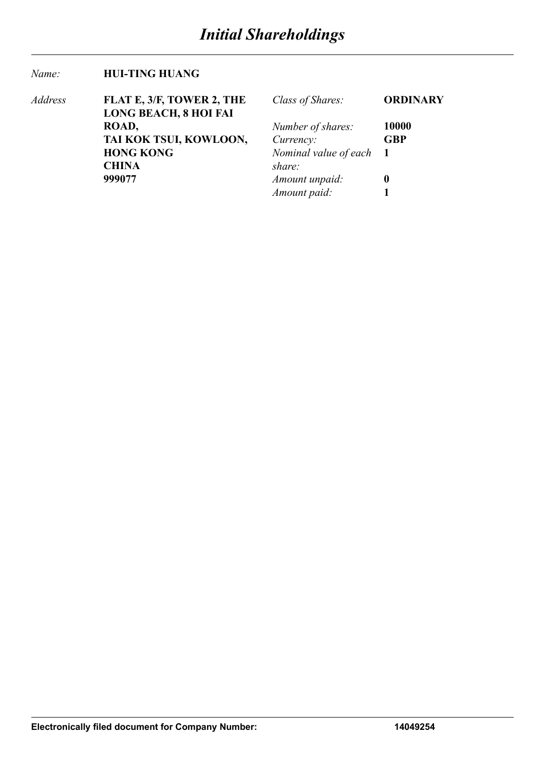#### *Name:* **HUI-TING HUANG**

| Address | FLAT E, 3/F, TOWER 2, THE    | Class of Shares:        | <b>ORDINARY</b> |
|---------|------------------------------|-------------------------|-----------------|
|         | <b>LONG BEACH, 8 HOI FAI</b> |                         |                 |
|         | ROAD,                        | Number of shares:       | 10000           |
|         | TAI KOK TSUI, KOWLOON,       | Currency:               | <b>GBP</b>      |
|         | <b>HONG KONG</b>             | Nominal value of each 1 |                 |
|         | <b>CHINA</b>                 | share:                  |                 |
|         | 999077                       | Amount unpaid:          | $\mathbf 0$     |
|         |                              | Amount paid:            |                 |
|         |                              |                         |                 |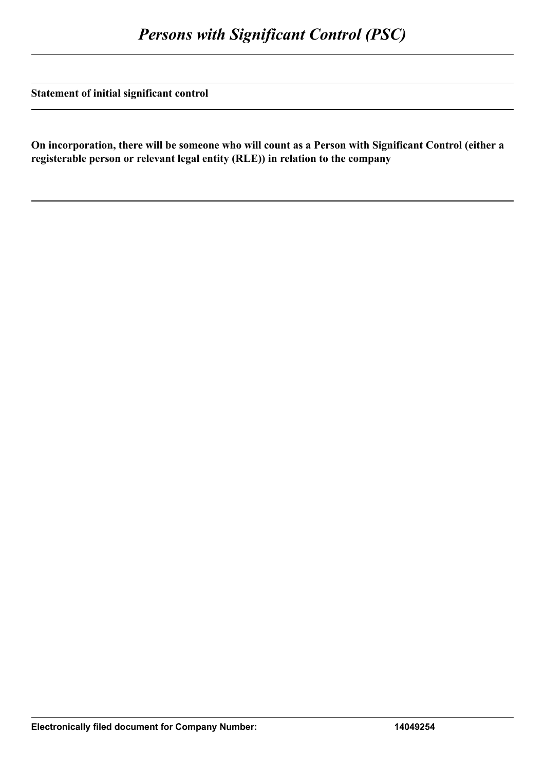**Statement of initial significant control**

**On incorporation, there will be someone who will count as a Person with Significant Control (either a registerable person or relevant legal entity (RLE)) in relation to the company**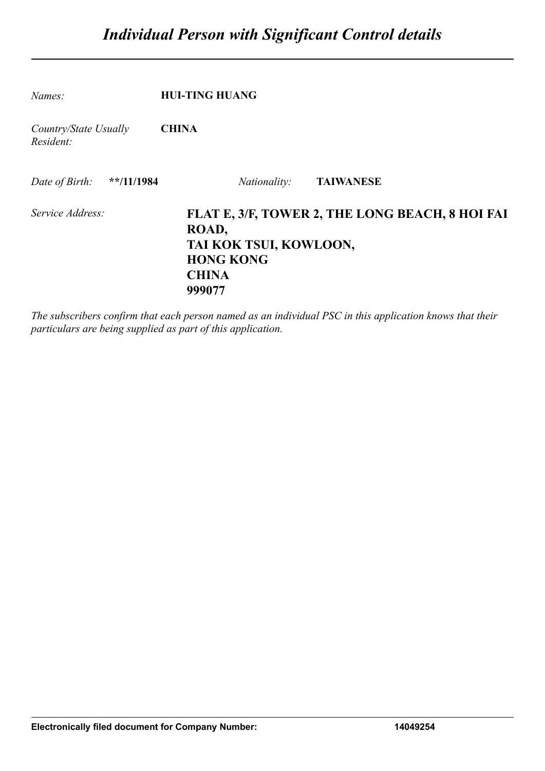| Names:                             | <b>HUI-TING HUANG</b>                                                                                                            |
|------------------------------------|----------------------------------------------------------------------------------------------------------------------------------|
| Country/State Usually<br>Resident: | <b>CHINA</b>                                                                                                                     |
| **/11/1984<br>Date of Birth:       | <b>TAIWANESE</b><br><i>Nationality:</i>                                                                                          |
| Service Address:                   | FLAT E, 3/F, TOWER 2, THE LONG BEACH, 8 HOI FAI<br>ROAD,<br>TAI KOK TSUI, KOWLOON,<br><b>HONG KONG</b><br><b>CHINA</b><br>999077 |

*The subscribers confirm that each person named as an individual PSC in this application knows that their particulars are being supplied as part of this application.*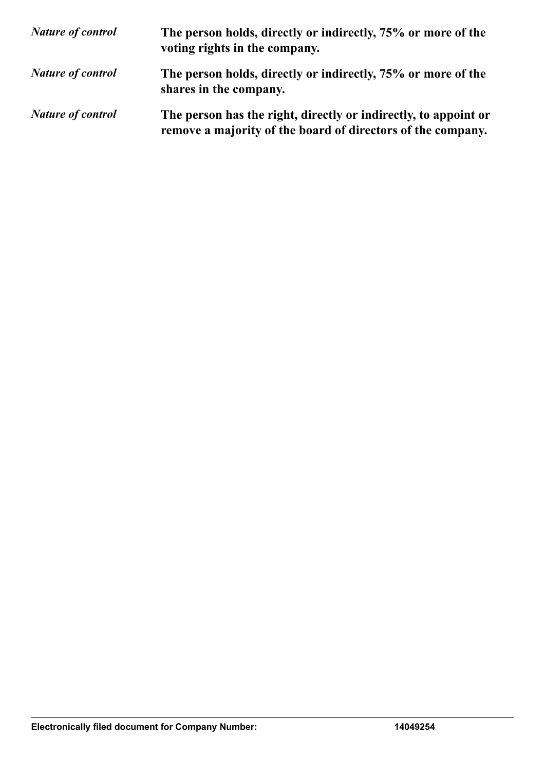| <b>Nature of control</b> | The person holds, directly or indirectly, 75% or more of the<br>voting rights in the company.                                  |
|--------------------------|--------------------------------------------------------------------------------------------------------------------------------|
| <b>Nature of control</b> | The person holds, directly or indirectly, 75% or more of the<br>shares in the company.                                         |
| <b>Nature of control</b> | The person has the right, directly or indirectly, to appoint or<br>remove a majority of the board of directors of the company. |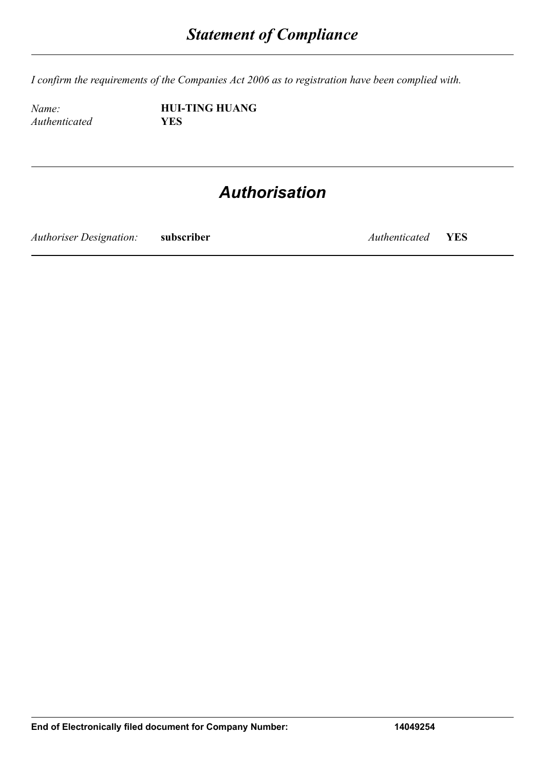*I confirm the requirements of the Companies Act 2006 as to registration have been complied with.*

*Authenticated* **YES**

*Name:* **HUI-TING HUANG**

## *Authorisation*

*Authoriser Designation:* **subscriber** *Authenticated* **YES**